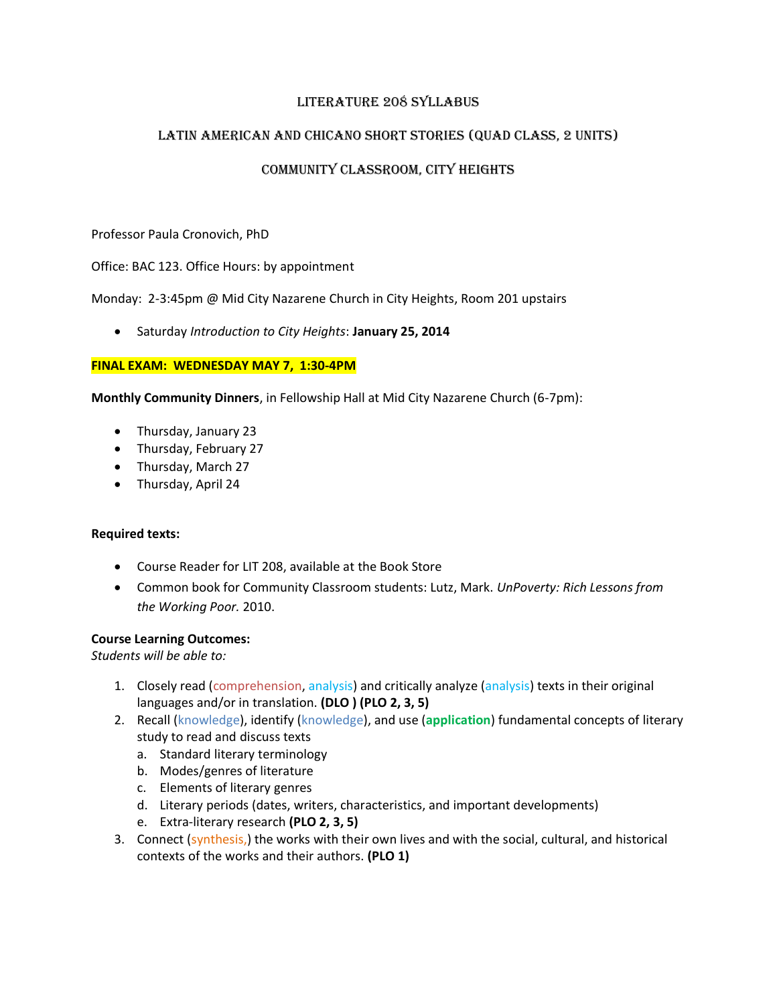# LITERATURE 208 Syllabus

# Latin American and Chicano Short Stories (Quad class, 2 units)

## Community Classroom, City Heights

Professor Paula Cronovich, PhD

Office: BAC 123. Office Hours: by appointment

Monday: 2-3:45pm @ Mid City Nazarene Church in City Heights, Room 201 upstairs

Saturday *Introduction to City Heights*: **January 25, 2014**

#### **FINAL EXAM: WEDNESDAY MAY 7, 1:30-4PM**

**Monthly Community Dinners**, in Fellowship Hall at Mid City Nazarene Church (6-7pm):

- Thursday, January 23
- Thursday, February 27
- Thursday, March 27
- Thursday, April 24

#### **Required texts:**

- Course Reader for LIT 208, available at the Book Store
- Common book for Community Classroom students: Lutz, Mark. *UnPoverty: Rich Lessons from the Working Poor.* 2010.

#### **Course Learning Outcomes:**

*Students will be able to:*

- 1. Closely read (comprehension, analysis) and critically analyze (analysis) texts in their original languages and/or in translation. **(DLO ) (PLO 2, 3, 5)**
- 2. Recall (knowledge), identify (knowledge), and use (**application**) fundamental concepts of literary study to read and discuss texts
	- a. Standard literary terminology
	- b. Modes/genres of literature
	- c. Elements of literary genres
	- d. Literary periods (dates, writers, characteristics, and important developments)
	- e. Extra-literary research **(PLO 2, 3, 5)**
- 3. Connect (synthesis,) the works with their own lives and with the social, cultural, and historical contexts of the works and their authors. **(PLO 1)**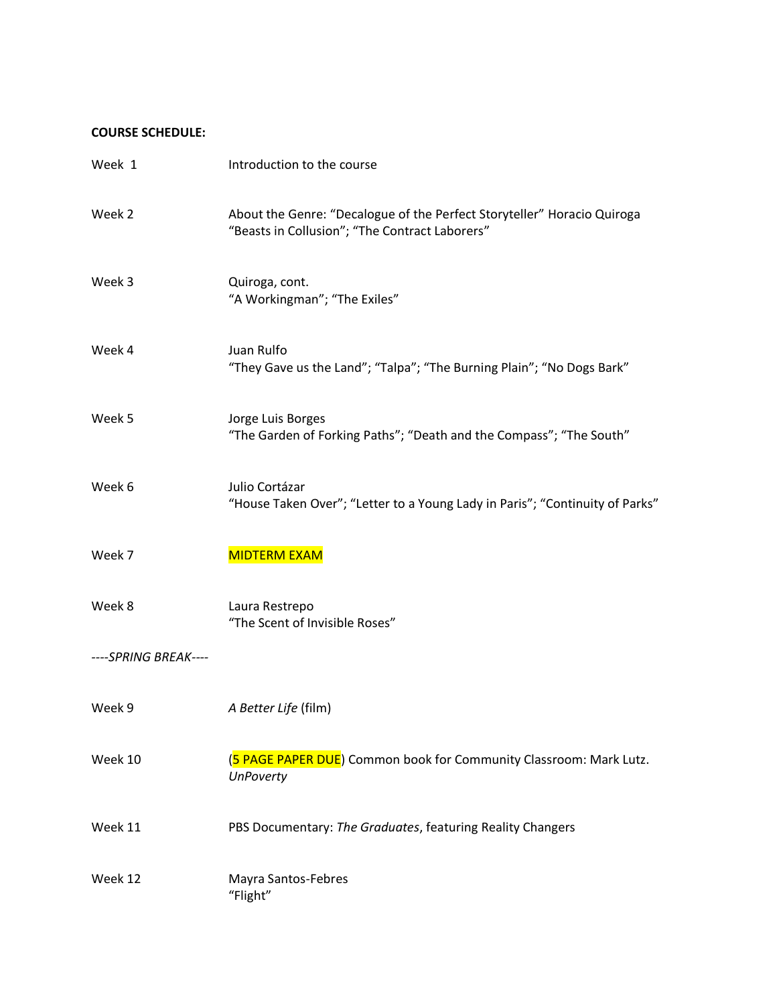## **COURSE SCHEDULE:**

| Week 1               | Introduction to the course                                                                                                |
|----------------------|---------------------------------------------------------------------------------------------------------------------------|
| Week 2               | About the Genre: "Decalogue of the Perfect Storyteller" Horacio Quiroga<br>"Beasts in Collusion"; "The Contract Laborers" |
| Week 3               | Quiroga, cont.<br>"A Workingman"; "The Exiles"                                                                            |
| Week 4               | Juan Rulfo<br>"They Gave us the Land"; "Talpa"; "The Burning Plain"; "No Dogs Bark"                                       |
| Week 5               | Jorge Luis Borges<br>"The Garden of Forking Paths"; "Death and the Compass"; "The South"                                  |
| Week 6               | Julio Cortázar<br>"House Taken Over"; "Letter to a Young Lady in Paris"; "Continuity of Parks"                            |
| Week 7               | <b>MIDTERM EXAM</b>                                                                                                       |
| Week 8               | Laura Restrepo<br>"The Scent of Invisible Roses"                                                                          |
| ----SPRING BREAK---- |                                                                                                                           |
| Week 9               | A Better Life (film)                                                                                                      |
| Week 10              | (5 PAGE PAPER DUE) Common book for Community Classroom: Mark Lutz.<br><b>UnPoverty</b>                                    |
| Week 11              | PBS Documentary: The Graduates, featuring Reality Changers                                                                |
| Week 12              | Mayra Santos-Febres<br>"Flight"                                                                                           |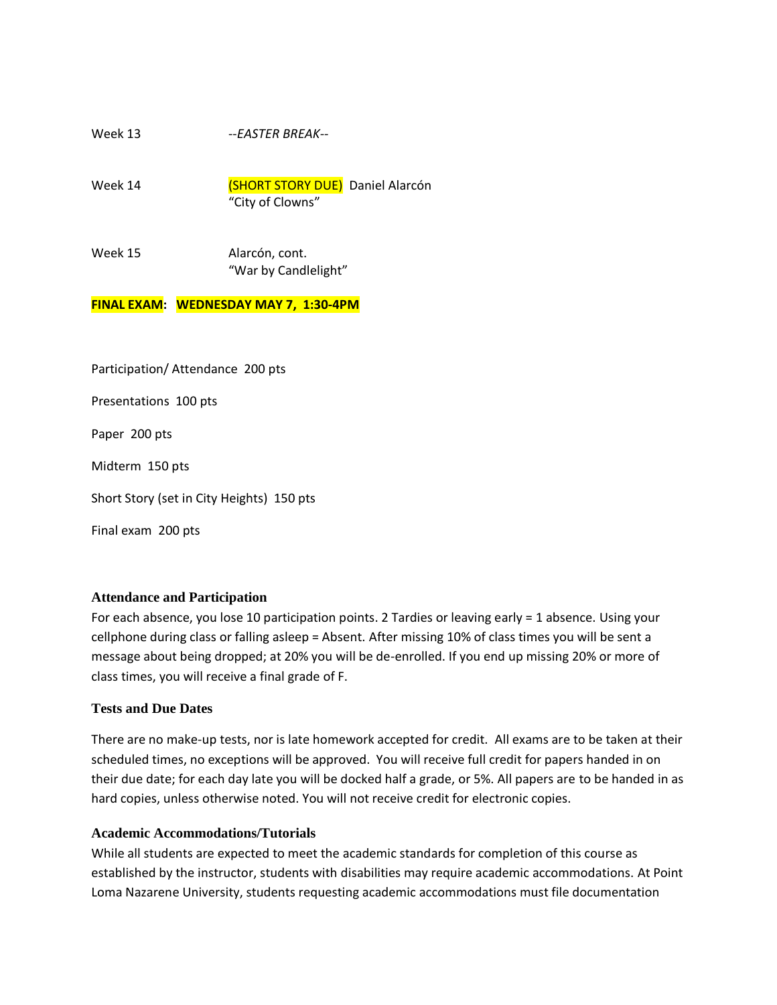Week 13 --*EASTER BREAK--*

- Week 14 **(SHORT STORY DUE)** Daniel Alarcón "City of Clowns"
- Week 15 Alarcón, cont. "War by Candlelight"

**FINAL EXAM: WEDNESDAY MAY 7, 1:30-4PM**

Participation/ Attendance 200 pts

Presentations 100 pts

Paper 200 pts

Midterm 150 pts

Short Story (set in City Heights) 150 pts

Final exam 200 pts

### **Attendance and Participation**

For each absence, you lose 10 participation points. 2 Tardies or leaving early = 1 absence. Using your cellphone during class or falling asleep = Absent. After missing 10% of class times you will be sent a message about being dropped; at 20% you will be de-enrolled. If you end up missing 20% or more of class times, you will receive a final grade of F.

### **Tests and Due Dates**

There are no make-up tests, nor is late homework accepted for credit. All exams are to be taken at their scheduled times, no exceptions will be approved. You will receive full credit for papers handed in on their due date; for each day late you will be docked half a grade, or 5%. All papers are to be handed in as hard copies, unless otherwise noted. You will not receive credit for electronic copies.

### **Academic Accommodations/Tutorials**

While all students are expected to meet the academic standards for completion of this course as established by the instructor, students with disabilities may require academic accommodations. At Point Loma Nazarene University, students requesting academic accommodations must file documentation